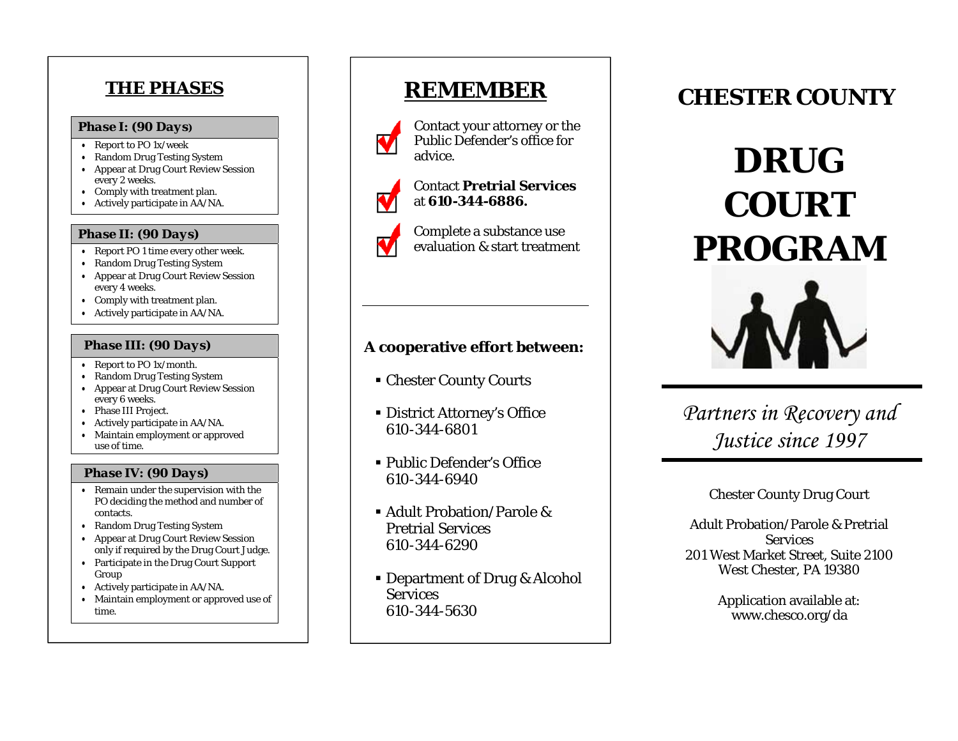# **THE PHASES**

## *Phase I: (90 Days)*

- Report to PO 1x/week
- Random Drug Testing System
- Appear at Drug Court Review Session every 2 weeks.
- Comply with treatment plan.
- Actively participate in AA/NA.

### *Phase II: (90 Days)*

- Report PO 1 time every other week.
- Random Drug Testing System
- Appear at Drug Court Review Session every 4 weeks.
- Comply with treatment plan.
- Actively participate in AA/NA.

#### *Phase III: (90 Days)*

- Report to PO 1x/month.
- Random Drug Testing System
- Appear at Drug Court Review Session every 6 weeks.
- Phase III Project.
- Actively participate in AA/NA.
- • Maintain employment or approved use of time.

## *Phase IV: (90 Days)*

- Remain under the supervision with the PO deciding the method and number of contacts.
- Random Drug Testing System
- Appear at Drug Court Review Session only if required by the Drug Court Judge.
- Participate in the Drug Court Support Group
- Actively participate in AA/NA.
- Maintain employment or approved use of time.

# **REMEMBER**



Contact your attorney or the Public Defender's office for advice.



Contact **Pretrial Services**at **610-344-6886.**



Complete a substance use evaluation & start treatment

## **A cooperative effort between:**

- Chester County Courts
- District Attorney's Office 610-344-6801
- Public Defender's Office 610-344-6940
- Adult Probation/Parole & Pretrial Services 610-344-6290
- Department of Drug & Alcohol **Services** 610-344-5630

# **CHESTER COUNTY**





*Partners in Recovery and Justice since 1997* 

Chester County Drug Court

Adult Probation/Parole & Pretrial **Services** 201 West Market Street, Suite 2100 West Chester, PA 19380

> Application available at: www.chesco.org/da